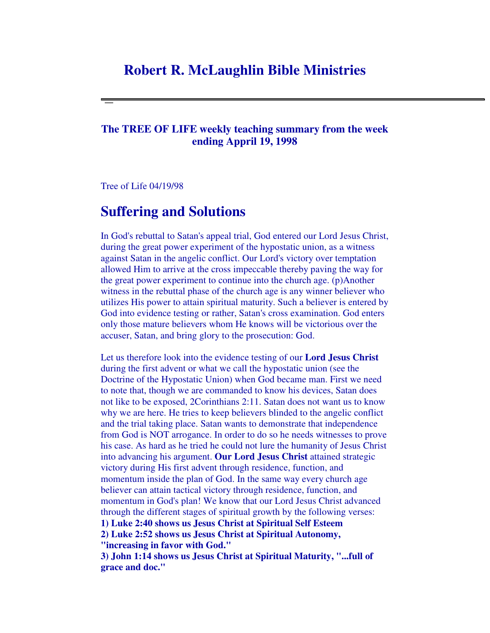## **Robert R. McLaughlin Bible Ministries**

## **The TREE OF LIFE weekly teaching summary from the week ending Appril 19, 1998**

Tree of Life 04/19/98

## **Suffering and Solutions**

In God's rebuttal to Satan's appeal trial, God entered our Lord Jesus Christ, during the great power experiment of the hypostatic union, as a witness against Satan in the angelic conflict. Our Lord's victory over temptation allowed Him to arrive at the cross impeccable thereby paving the way for the great power experiment to continue into the church age. (p)Another witness in the rebuttal phase of the church age is any winner believer who utilizes His power to attain spiritual maturity. Such a believer is entered by God into evidence testing or rather, Satan's cross examination. God enters only those mature believers whom He knows will be victorious over the accuser, Satan, and bring glory to the prosecution: God.

Let us therefore look into the evidence testing of our **Lord Jesus Christ** during the first advent or what we call the hypostatic union (see the Doctrine of the Hypostatic Union) when God became man. First we need to note that, though we are commanded to know his devices, Satan does not like to be exposed, 2Corinthians 2:11. Satan does not want us to know why we are here. He tries to keep believers blinded to the angelic conflict and the trial taking place. Satan wants to demonstrate that independence from God is NOT arrogance. In order to do so he needs witnesses to prove his case. As hard as he tried he could not lure the humanity of Jesus Christ into advancing his argument. **Our Lord Jesus Christ** attained strategic victory during His first advent through residence, function, and momentum inside the plan of God. In the same way every church age believer can attain tactical victory through residence, function, and momentum in God's plan! We know that our Lord Jesus Christ advanced through the different stages of spiritual growth by the following verses: **1) Luke 2:40 shows us Jesus Christ at Spiritual Self Esteem 2) Luke 2:52 shows us Jesus Christ at Spiritual Autonomy, "increasing in favor with God."**

**3) John 1:14 shows us Jesus Christ at Spiritual Maturity, "...full of grace and doc."**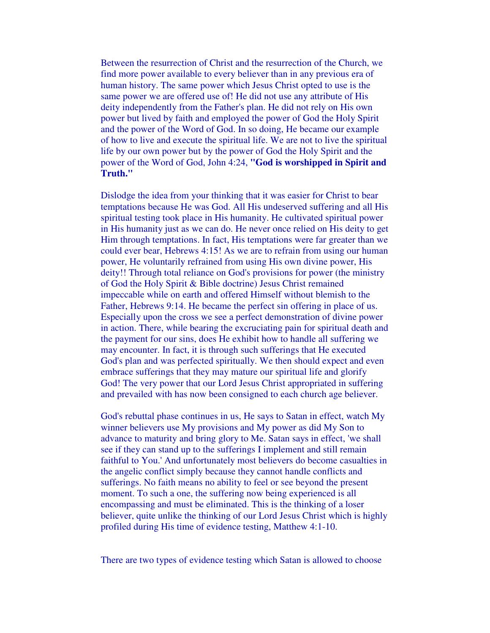Between the resurrection of Christ and the resurrection of the Church, we find more power available to every believer than in any previous era of human history. The same power which Jesus Christ opted to use is the same power we are offered use of! He did not use any attribute of His deity independently from the Father's plan. He did not rely on His own power but lived by faith and employed the power of God the Holy Spirit and the power of the Word of God. In so doing, He became our example of how to live and execute the spiritual life. We are not to live the spiritual life by our own power but by the power of God the Holy Spirit and the power of the Word of God, John 4:24, **"God is worshipped in Spirit and Truth."**

Dislodge the idea from your thinking that it was easier for Christ to bear temptations because He was God. All His undeserved suffering and all His spiritual testing took place in His humanity. He cultivated spiritual power in His humanity just as we can do. He never once relied on His deity to get Him through temptations. In fact, His temptations were far greater than we could ever bear, Hebrews 4:15! As we are to refrain from using our human power, He voluntarily refrained from using His own divine power, His deity!! Through total reliance on God's provisions for power (the ministry of God the Holy Spirit & Bible doctrine) Jesus Christ remained impeccable while on earth and offered Himself without blemish to the Father, Hebrews 9:14. He became the perfect sin offering in place of us. Especially upon the cross we see a perfect demonstration of divine power in action. There, while bearing the excruciating pain for spiritual death and the payment for our sins, does He exhibit how to handle all suffering we may encounter. In fact, it is through such sufferings that He executed God's plan and was perfected spiritually. We then should expect and even embrace sufferings that they may mature our spiritual life and glorify God! The very power that our Lord Jesus Christ appropriated in suffering and prevailed with has now been consigned to each church age believer.

God's rebuttal phase continues in us, He says to Satan in effect, watch My winner believers use My provisions and My power as did My Son to advance to maturity and bring glory to Me. Satan says in effect, 'we shall see if they can stand up to the sufferings I implement and still remain faithful to You.' And unfortunately most believers do become casualties in the angelic conflict simply because they cannot handle conflicts and sufferings. No faith means no ability to feel or see beyond the present moment. To such a one, the suffering now being experienced is all encompassing and must be eliminated. This is the thinking of a loser believer, quite unlike the thinking of our Lord Jesus Christ which is highly profiled during His time of evidence testing, Matthew 4:1-10.

There are two types of evidence testing which Satan is allowed to choose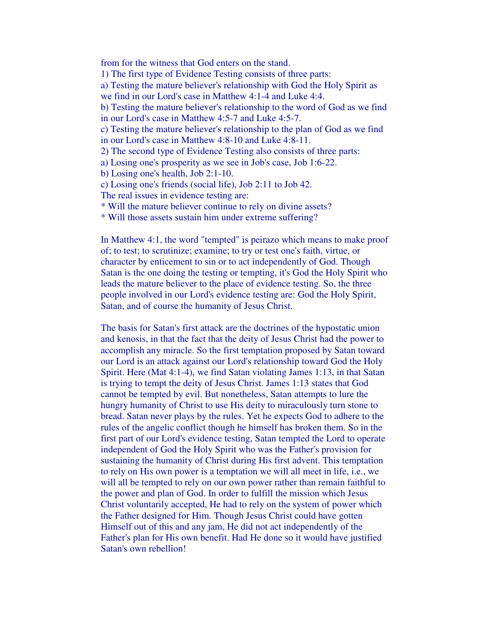from for the witness that God enters on the stand. 1) The first type of Evidence Testing consists of three parts: a) Testing the mature believer's relationship with God the Holy Spirit as we find in our Lord's case in Matthew 4:1-4 and Luke 4:4. b) Testing the mature believer's relationship to the word of God as we find in our Lord's case in Matthew 4:5-7 and Luke 4:5-7. c) Testing the mature believer's relationship to the plan of God as we find in our Lord's case in Matthew 4:8-10 and Luke 4:8-11. 2) The second type of Evidence Testing also consists of three parts: a) Losing one's prosperity as we see in Job's case, Job 1:6-22. b) Losing one's health, Job 2:1-10. c) Losing one's friends (social life), Job 2:11 to Job 42. The real issues in evidence testing are: \* Will the mature believer continue to rely on divine assets? \* Will those assets sustain him under extreme suffering?

In Matthew 4:1, the word "tempted" is peirazo which means to make proof of; to test; to scrutinize; examine; to try or test one's faith, virtue, or character by enticement to sin or to act independently of God. Though Satan is the one doing the testing or tempting, it's God the Holy Spirit who leads the mature believer to the place of evidence testing. So, the three people involved in our Lord's evidence testing are: God the Holy Spirit, Satan, and of course the humanity of Jesus Christ.

The basis for Satan's first attack are the doctrines of the hypostatic union and kenosis, in that the fact that the deity of Jesus Christ had the power to accomplish any miracle. So the first temptation proposed by Satan toward our Lord is an attack against our Lord's relationship toward God the Holy Spirit. Here (Mat 4:1-4), we find Satan violating James 1:13, in that Satan is trying to tempt the deity of Jesus Christ. James 1:13 states that God cannot be tempted by evil. But nonetheless, Satan attempts to lure the hungry humanity of Christ to use His deity to miraculously turn stone to bread. Satan never plays by the rules. Yet he expects God to adhere to the rules of the angelic conflict though he himself has broken them. So in the first part of our Lord's evidence testing, Satan tempted the Lord to operate independent of God the Holy Spirit who was the Father's provision for sustaining the humanity of Christ during His first advent. This temptation to rely on His own power is a temptation we will all meet in life, i.e., we will all be tempted to rely on our own power rather than remain faithful to the power and plan of God. In order to fulfill the mission which Jesus Christ voluntarily accepted, He had to rely on the system of power which the Father designed for Him. Though Jesus Christ could have gotten Himself out of this and any jam, He did not act independently of the Father's plan for His own benefit. Had He done so it would have justified Satan's own rebellion!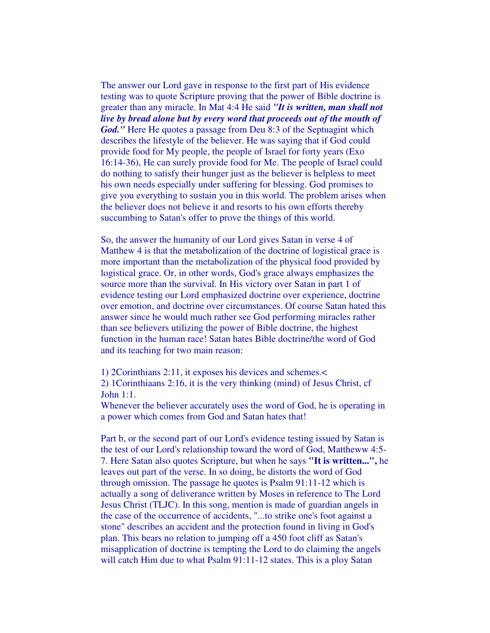The answer our Lord gave in response to the first part of His evidence testing was to quote Scripture proving that the power of Bible doctrine is greater than any miracle. In Mat 4:4 He said *"It is written, man shall not live by bread alone but by every word that proceeds out of the mouth of God."* Here He quotes a passage from Deu 8:3 of the Septuagint which describes the lifestyle of the believer. He was saying that if God could provide food for My people, the people of Israel for forty years (Exo 16:14-36), He can surely provide food for Me. The people of Israel could do nothing to satisfy their hunger just as the believer is helpless to meet his own needs especially under suffering for blessing. God promises to give you everything to sustain you in this world. The problem arises when the believer does not believe it and resorts to his own efforts thereby succumbing to Satan's offer to prove the things of this world.

So, the answer the humanity of our Lord gives Satan in verse 4 of Matthew 4 is that the metabolization of the doctrine of logistical grace is more important than the metabolization of the physical food provided by logistical grace. Or, in other words, God's grace always emphasizes the source more than the survival. In His victory over Satan in part 1 of evidence testing our Lord emphasized doctrine over experience, doctrine over emotion, and doctrine over circumstances. Of course Satan hated this answer since he would much rather see God performing miracles rather than see believers utilizing the power of Bible doctrine, the highest function in the human race! Satan hates Bible doctrine/the word of God and its teaching for two main reason:

1) 2Corinthians 2:11, it exposes his devices and schemes.< 2) 1Corinthiaans 2:16, it is the very thinking (mind) of Jesus Christ, cf John 1:1.

Whenever the believer accurately uses the word of God, he is operating in a power which comes from God and Satan hates that!

Part b, or the second part of our Lord's evidence testing issued by Satan is the test of our Lord's relationship toward the word of God, Mattheww 4:5- 7. Here Satan also quotes Scripture, but when he says **"It is written...",** he leaves out part of the verse. In so doing, he distorts the word of God through omission. The passage he quotes is Psalm 91:11-12 which is actually a song of deliverance written by Moses in reference to The Lord Jesus Christ (TLJC). In this song, mention is made of guardian angels in the case of the occurrence of accidents, "...to strike one's foot against a stone" describes an accident and the protection found in living in God's plan. This bears no relation to jumping off a 450 foot cliff as Satan's misapplication of doctrine is tempting the Lord to do claiming the angels will catch Him due to what Psalm 91:11-12 states. This is a ploy Satan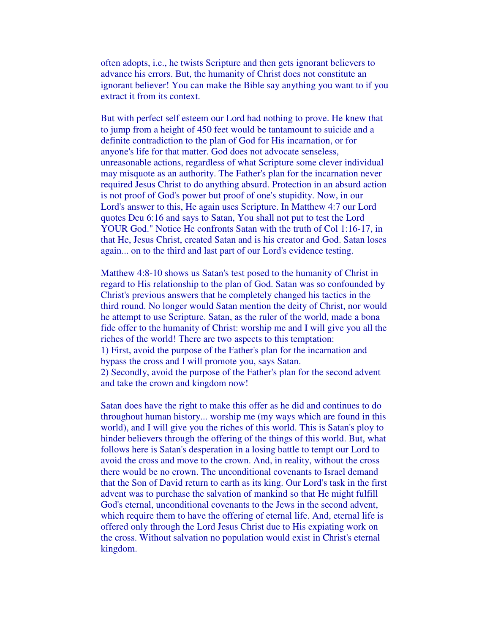often adopts, i.e., he twists Scripture and then gets ignorant believers to advance his errors. But, the humanity of Christ does not constitute an ignorant believer! You can make the Bible say anything you want to if you extract it from its context.

But with perfect self esteem our Lord had nothing to prove. He knew that to jump from a height of 450 feet would be tantamount to suicide and a definite contradiction to the plan of God for His incarnation, or for anyone's life for that matter. God does not advocate senseless, unreasonable actions, regardless of what Scripture some clever individual may misquote as an authority. The Father's plan for the incarnation never required Jesus Christ to do anything absurd. Protection in an absurd action is not proof of God's power but proof of one's stupidity. Now, in our Lord's answer to this, He again uses Scripture. In Matthew 4:7 our Lord quotes Deu 6:16 and says to Satan, You shall not put to test the Lord YOUR God." Notice He confronts Satan with the truth of Col 1:16-17, in that He, Jesus Christ, created Satan and is his creator and God. Satan loses again... on to the third and last part of our Lord's evidence testing.

Matthew 4:8-10 shows us Satan's test posed to the humanity of Christ in regard to His relationship to the plan of God. Satan was so confounded by Christ's previous answers that he completely changed his tactics in the third round. No longer would Satan mention the deity of Christ, nor would he attempt to use Scripture. Satan, as the ruler of the world, made a bona fide offer to the humanity of Christ: worship me and I will give you all the riches of the world! There are two aspects to this temptation: 1) First, avoid the purpose of the Father's plan for the incarnation and bypass the cross and I will promote you, says Satan. 2) Secondly, avoid the purpose of the Father's plan for the second advent and take the crown and kingdom now!

Satan does have the right to make this offer as he did and continues to do throughout human history... worship me (my ways which are found in this world), and I will give you the riches of this world. This is Satan's ploy to hinder believers through the offering of the things of this world. But, what follows here is Satan's desperation in a losing battle to tempt our Lord to avoid the cross and move to the crown. And, in reality, without the cross there would be no crown. The unconditional covenants to Israel demand that the Son of David return to earth as its king. Our Lord's task in the first advent was to purchase the salvation of mankind so that He might fulfill God's eternal, unconditional covenants to the Jews in the second advent, which require them to have the offering of eternal life. And, eternal life is offered only through the Lord Jesus Christ due to His expiating work on the cross. Without salvation no population would exist in Christ's eternal kingdom.